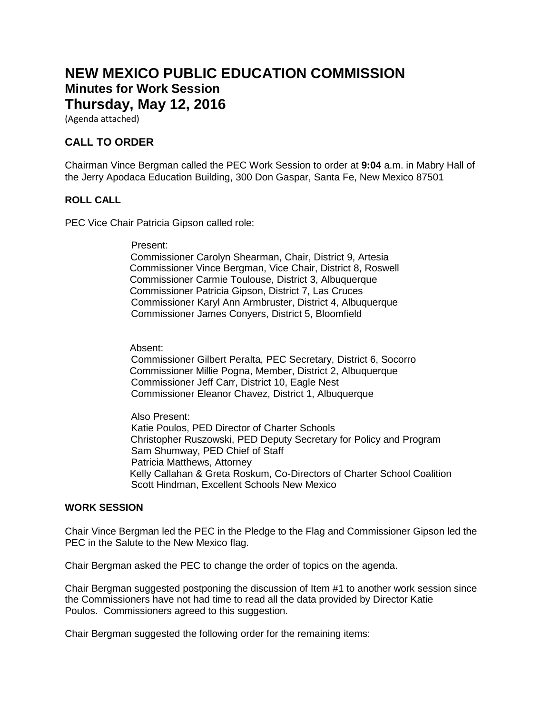# **NEW MEXICO PUBLIC EDUCATION COMMISSION Minutes for Work Session Thursday, May 12, 2016**

(Agenda attached)

# **CALL TO ORDER**

Chairman Vince Bergman called the PEC Work Session to order at **9:04** a.m. in Mabry Hall of the Jerry Apodaca Education Building, 300 Don Gaspar, Santa Fe, New Mexico 87501

#### **ROLL CALL**

PEC Vice Chair Patricia Gipson called role:

Present:

 Commissioner Carolyn Shearman, Chair, District 9, Artesia Commissioner Vince Bergman, Vice Chair, District 8, Roswell Commissioner Carmie Toulouse, District 3, Albuquerque Commissioner Patricia Gipson, District 7, Las Cruces Commissioner Karyl Ann Armbruster, District 4, Albuquerque Commissioner James Conyers, District 5, Bloomfield

Absent:

 Commissioner Gilbert Peralta, PEC Secretary, District 6, Socorro Commissioner Millie Pogna, Member, District 2, Albuquerque Commissioner Jeff Carr, District 10, Eagle Nest Commissioner Eleanor Chavez, District 1, Albuquerque

 Also Present: Katie Poulos, PED Director of Charter Schools Christopher Ruszowski, PED Deputy Secretary for Policy and Program Sam Shumway, PED Chief of Staff Patricia Matthews, Attorney Kelly Callahan & Greta Roskum, Co-Directors of Charter School Coalition Scott Hindman, Excellent Schools New Mexico

#### **WORK SESSION**

Chair Vince Bergman led the PEC in the Pledge to the Flag and Commissioner Gipson led the PEC in the Salute to the New Mexico flag.

Chair Bergman asked the PEC to change the order of topics on the agenda.

Chair Bergman suggested postponing the discussion of Item #1 to another work session since the Commissioners have not had time to read all the data provided by Director Katie Poulos. Commissioners agreed to this suggestion.

Chair Bergman suggested the following order for the remaining items: